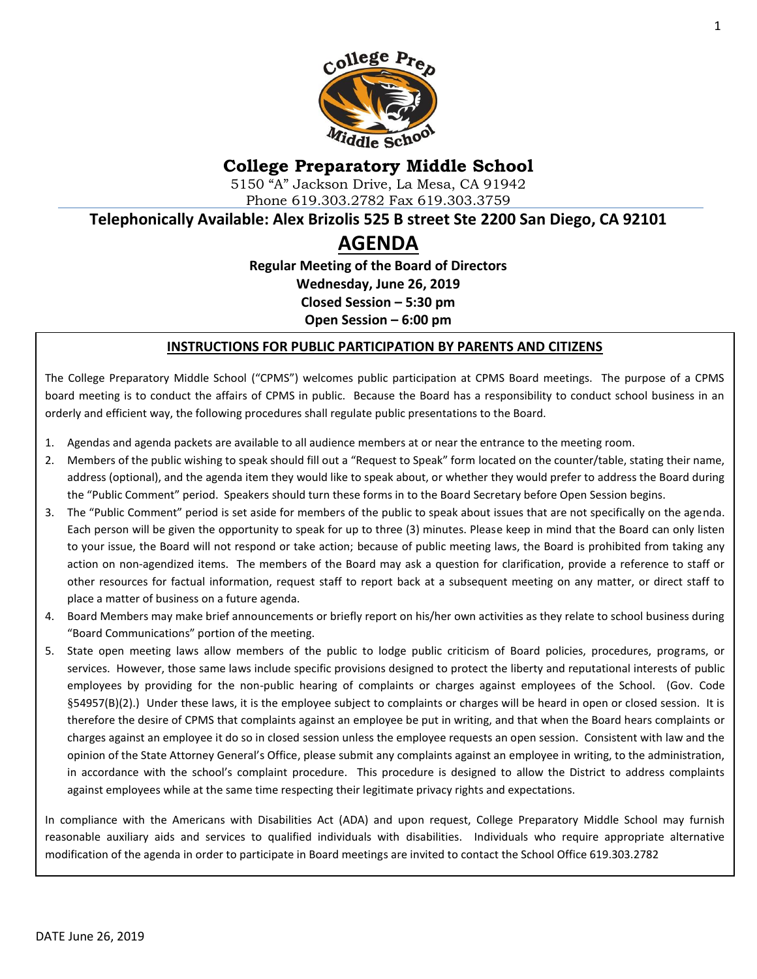

# **College Preparatory Middle School**

5150 "A" Jackson Drive, La Mesa, CA 91942 Phone 619.303.2782 Fax 619.303.3759

**Telephonically Available: Alex Brizolis 525 B street Ste 2200 San Diego, CA 92101**

# **AGENDA**

**Regular Meeting of the Board of Directors Wednesday, June 26, 2019 Closed Session – 5:30 pm Open Session – 6:00 pm**

#### **INSTRUCTIONS FOR PUBLIC PARTICIPATION BY PARENTS AND CITIZENS**

The College Preparatory Middle School ("CPMS") welcomes public participation at CPMS Board meetings. The purpose of a CPMS board meeting is to conduct the affairs of CPMS in public. Because the Board has a responsibility to conduct school business in an orderly and efficient way, the following procedures shall regulate public presentations to the Board.

- 1. Agendas and agenda packets are available to all audience members at or near the entrance to the meeting room.
- 2. Members of the public wishing to speak should fill out a "Request to Speak" form located on the counter/table, stating their name, address (optional), and the agenda item they would like to speak about, or whether they would prefer to address the Board during the "Public Comment" period. Speakers should turn these forms in to the Board Secretary before Open Session begins.
- 3. The "Public Comment" period is set aside for members of the public to speak about issues that are not specifically on the agenda. Each person will be given the opportunity to speak for up to three (3) minutes. Please keep in mind that the Board can only listen to your issue, the Board will not respond or take action; because of public meeting laws, the Board is prohibited from taking any action on non-agendized items. The members of the Board may ask a question for clarification, provide a reference to staff or other resources for factual information, request staff to report back at a subsequent meeting on any matter, or direct staff to place a matter of business on a future agenda.
- 4. Board Members may make brief announcements or briefly report on his/her own activities as they relate to school business during "Board Communications" portion of the meeting.
- 5. State open meeting laws allow members of the public to lodge public criticism of Board policies, procedures, programs, or services. However, those same laws include specific provisions designed to protect the liberty and reputational interests of public employees by providing for the non-public hearing of complaints or charges against employees of the School. (Gov. Code §54957(B)(2).) Under these laws, it is the employee subject to complaints or charges will be heard in open or closed session. It is therefore the desire of CPMS that complaints against an employee be put in writing, and that when the Board hears complaints or charges against an employee it do so in closed session unless the employee requests an open session. Consistent with law and the opinion of the State Attorney General's Office, please submit any complaints against an employee in writing, to the administration, in accordance with the school's complaint procedure. This procedure is designed to allow the District to address complaints against employees while at the same time respecting their legitimate privacy rights and expectations.

In compliance with the Americans with Disabilities Act (ADA) and upon request, College Preparatory Middle School may furnish reasonable auxiliary aids and services to qualified individuals with disabilities. Individuals who require appropriate alternative modification of the agenda in order to participate in Board meetings are invited to contact the School Office 619.303.2782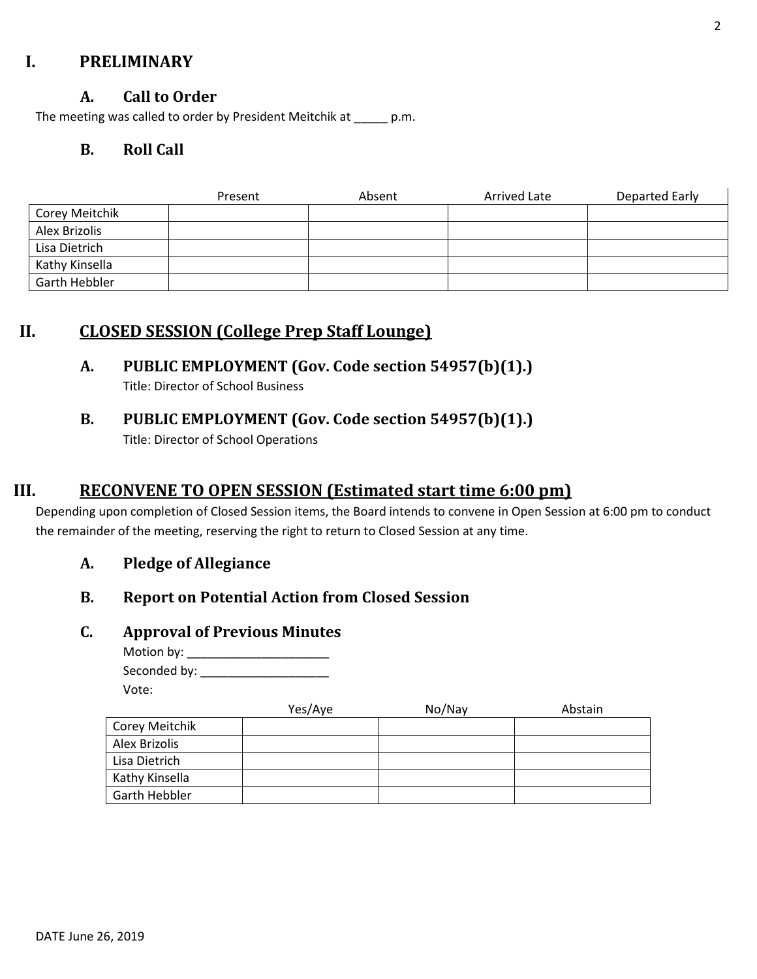### **I. PRELIMINARY**

#### **A. Call to Order**

The meeting was called to order by President Meitchik at \_\_\_\_\_ p.m.

#### **B. Roll Call**

|                | Present | Absent | Arrived Late | Departed Early |
|----------------|---------|--------|--------------|----------------|
| Corey Meitchik |         |        |              |                |
| Alex Brizolis  |         |        |              |                |
| Lisa Dietrich  |         |        |              |                |
| Kathy Kinsella |         |        |              |                |
| Garth Hebbler  |         |        |              |                |

### **II. CLOSED SESSION (College Prep Staff Lounge)**

### **A. PUBLIC EMPLOYMENT (Gov. Code section 54957(b)(1).)**

Title: Director of School Business

# **B. PUBLIC EMPLOYMENT (Gov. Code section 54957(b)(1).)**

Title: Director of School Operations

### **III. RECONVENE TO OPEN SESSION (Estimated start time 6:00 pm)**

Depending upon completion of Closed Session items, the Board intends to convene in Open Session at 6:00 pm to conduct the remainder of the meeting, reserving the right to return to Closed Session at any time.

#### **A. Pledge of Allegiance**

#### **B. Report on Potential Action from Closed Session**

#### **C. Approval of Previous Minutes**

Motion by: \_\_\_\_\_\_\_\_\_\_\_\_\_\_\_\_\_\_\_\_\_ Seconded by: \_\_\_\_\_\_\_\_\_\_\_\_\_\_\_\_\_\_\_ Vote:

|                      | Yes/Aye | No/Nay | Abstain |
|----------------------|---------|--------|---------|
| Corey Meitchik       |         |        |         |
| Alex Brizolis        |         |        |         |
| Lisa Dietrich        |         |        |         |
| Kathy Kinsella       |         |        |         |
| <b>Garth Hebbler</b> |         |        |         |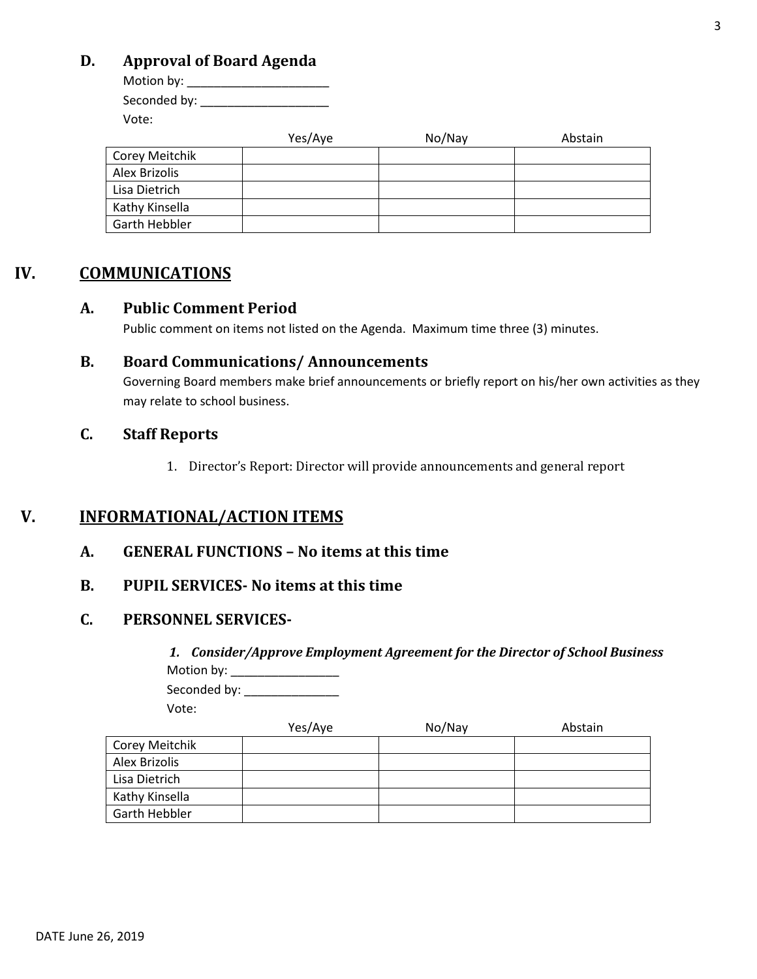### **D. Approval of Board Agenda**

Motion by: \_\_\_\_\_\_\_\_\_\_\_\_\_\_\_\_\_\_\_\_\_ Seconded by: \_\_\_\_\_\_\_\_\_\_\_\_\_\_\_\_\_\_\_ Vote:

|                | Yes/Aye | No/Nay | Abstain |
|----------------|---------|--------|---------|
| Corey Meitchik |         |        |         |
| Alex Brizolis  |         |        |         |
| Lisa Dietrich  |         |        |         |
| Kathy Kinsella |         |        |         |
| Garth Hebbler  |         |        |         |

### **IV. COMMUNICATIONS**

#### **A. Public Comment Period**

Public comment on items not listed on the Agenda. Maximum time three (3) minutes.

#### **B. Board Communications/ Announcements**

Governing Board members make brief announcements or briefly report on his/her own activities as they may relate to school business.

#### **C. Staff Reports**

1. Director's Report: Director will provide announcements and general report

### **V. INFORMATIONAL/ACTION ITEMS**

**A. GENERAL FUNCTIONS – No items at this time**

#### **B. PUPIL SERVICES- No items at this time**

#### **C. PERSONNEL SERVICES-**

*1. Consider/Approve Employment Agreement for the Director of School Business* Motion by: \_\_\_\_\_\_\_\_\_\_\_\_\_\_\_\_

Seconded by: \_\_\_\_\_\_\_\_\_\_\_\_\_\_\_\_\_

Vote:

|                | Yes/Aye | No/Nay | Abstain |
|----------------|---------|--------|---------|
| Corey Meitchik |         |        |         |
| Alex Brizolis  |         |        |         |
| Lisa Dietrich  |         |        |         |
| Kathy Kinsella |         |        |         |
| Garth Hebbler  |         |        |         |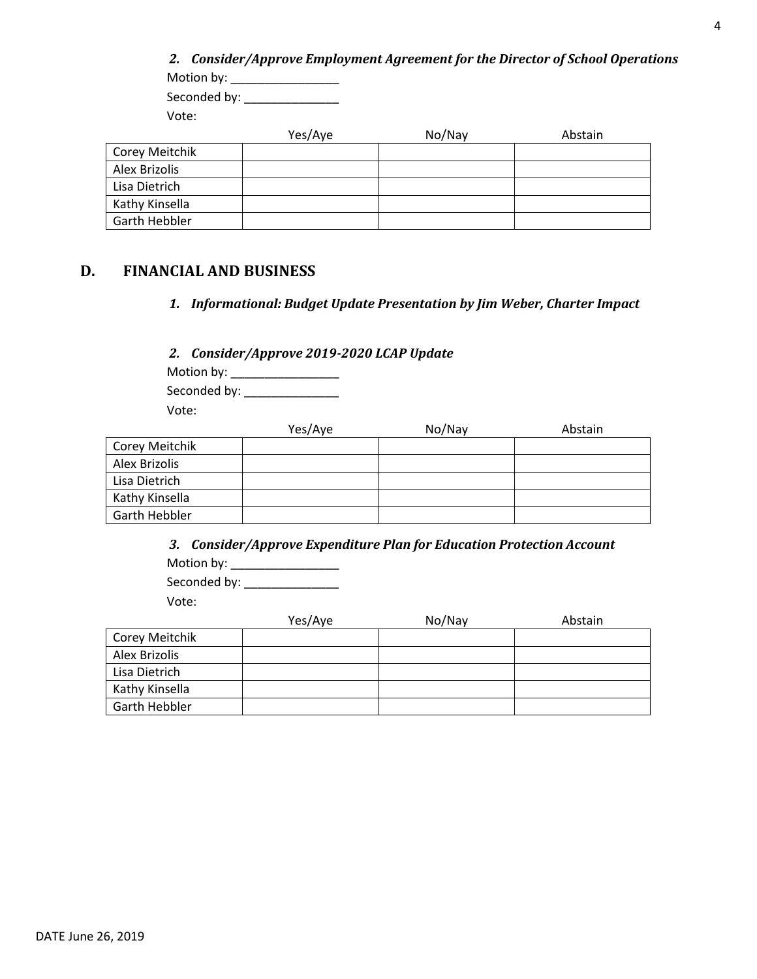| Motion by:     |         |        | 2. Consider/Approve Employment Agreement for the Director of School Operations |  |
|----------------|---------|--------|--------------------------------------------------------------------------------|--|
| Seconded by:   |         |        |                                                                                |  |
| Vote:          |         |        |                                                                                |  |
|                | Yes/Aye | No/Nay | Abstain                                                                        |  |
| Corey Meitchik |         |        |                                                                                |  |
| Alex Brizolis  |         |        |                                                                                |  |
| Lisa Dietrich  |         |        |                                                                                |  |
| Kathy Kinsella |         |        |                                                                                |  |
| Garth Hebbler  |         |        |                                                                                |  |

### **D. FINANCIAL AND BUSINESS**

*1. Informational: Budget Update Presentation by Jim Weber, Charter Impact*

*2. Consider/Approve 2019-2020 LCAP Update*

Motion by: \_\_\_\_\_\_\_\_\_\_\_\_\_\_\_\_ Seconded by: \_\_\_\_\_\_\_\_\_\_\_\_\_\_ Vote:

|                | Yes/Aye | No/Nay | Abstain |
|----------------|---------|--------|---------|
| Corey Meitchik |         |        |         |
| Alex Brizolis  |         |        |         |
| Lisa Dietrich  |         |        |         |
| Kathy Kinsella |         |        |         |
| Garth Hebbler  |         |        |         |

*3. Consider/Approve Expenditure Plan for Education Protection Account* Motion by: \_\_\_\_\_\_\_\_\_\_\_\_\_\_\_\_ Seconded by: \_\_\_\_\_\_\_\_\_\_\_\_\_\_ Vote:

|                      | Yes/Aye | No/Nay | Abstain |
|----------------------|---------|--------|---------|
| Corey Meitchik       |         |        |         |
| Alex Brizolis        |         |        |         |
| Lisa Dietrich        |         |        |         |
| Kathy Kinsella       |         |        |         |
| <b>Garth Hebbler</b> |         |        |         |